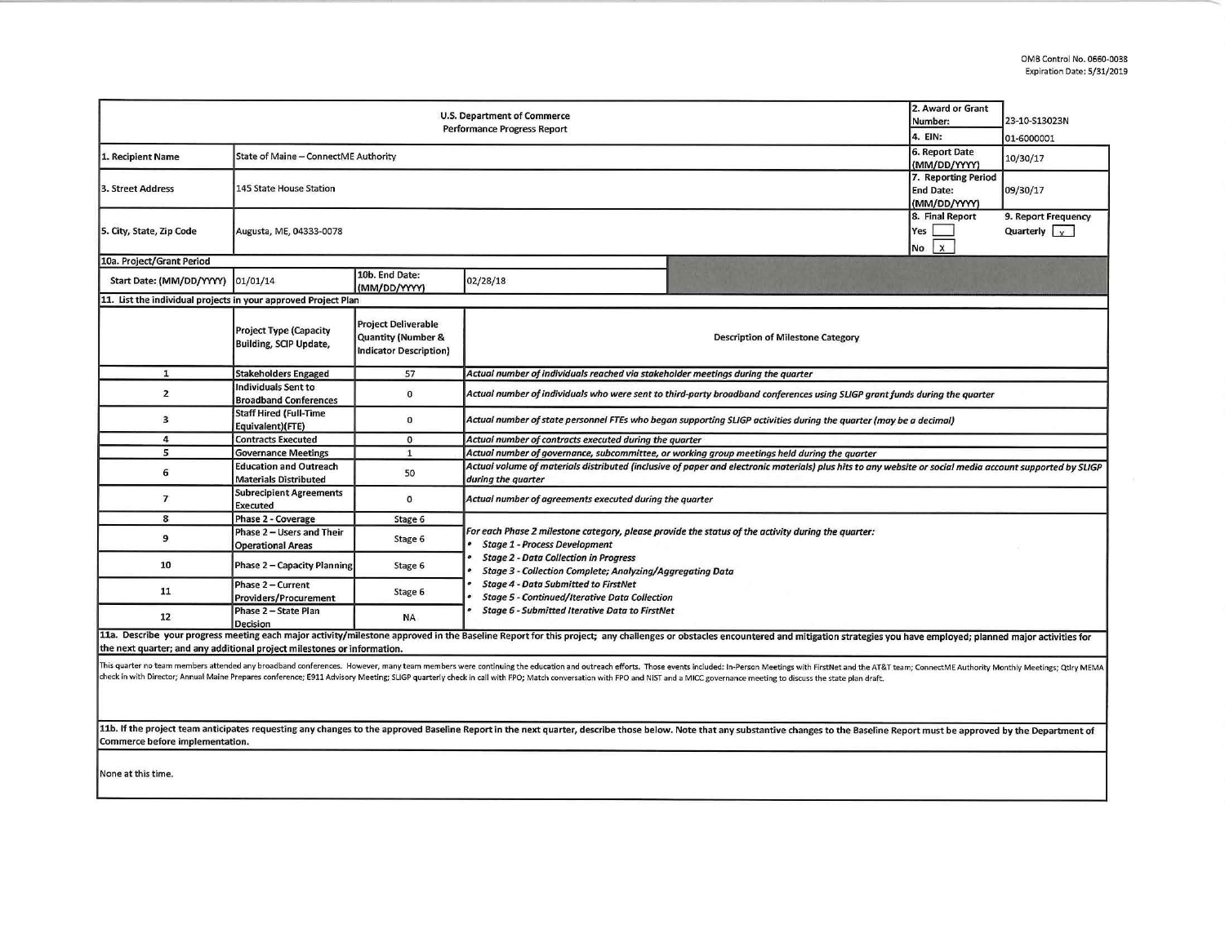| 2. Award or Grant<br>U.S. Department of Commerce<br>Number:<br><b>Performance Progress Report</b><br>4. EIN: |                                                               |                                                                            |                                                                                                                                                                                                                                                                                  |                                                                                                                                                                                                                                                                                                                                                                                                                                                                |                                                         | 23-10-S13023N<br>01-6000001                            |  |  |  |
|--------------------------------------------------------------------------------------------------------------|---------------------------------------------------------------|----------------------------------------------------------------------------|----------------------------------------------------------------------------------------------------------------------------------------------------------------------------------------------------------------------------------------------------------------------------------|----------------------------------------------------------------------------------------------------------------------------------------------------------------------------------------------------------------------------------------------------------------------------------------------------------------------------------------------------------------------------------------------------------------------------------------------------------------|---------------------------------------------------------|--------------------------------------------------------|--|--|--|
| 1. Recipient Name                                                                                            | State of Maine - ConnectME Authority                          |                                                                            |                                                                                                                                                                                                                                                                                  |                                                                                                                                                                                                                                                                                                                                                                                                                                                                | 6. Report Date<br>(MM/DD/YYYY)                          | 10/30/17                                               |  |  |  |
| 3. Street Address                                                                                            | 145 State House Station                                       |                                                                            |                                                                                                                                                                                                                                                                                  |                                                                                                                                                                                                                                                                                                                                                                                                                                                                | 7. Reporting Period<br><b>End Date:</b><br>(MM/DD/YYYY) | 09/30/17                                               |  |  |  |
| 5. City, State, Zip Code                                                                                     | Augusta, ME, 04333-0078                                       |                                                                            |                                                                                                                                                                                                                                                                                  |                                                                                                                                                                                                                                                                                                                                                                                                                                                                | 8. Final Report<br>Yes<br>$\mathbf{x}$<br>No            | 9. Report Frequency<br>Quarterly $\vert \cdot \rangle$ |  |  |  |
| 10a. Project/Grant Period                                                                                    |                                                               |                                                                            |                                                                                                                                                                                                                                                                                  |                                                                                                                                                                                                                                                                                                                                                                                                                                                                |                                                         |                                                        |  |  |  |
| Start Date: (MM/DD/YYYY) 01/01/14                                                                            |                                                               | 10b. End Date:<br>(MM/DD/YYYY)                                             | 02/28/18                                                                                                                                                                                                                                                                         |                                                                                                                                                                                                                                                                                                                                                                                                                                                                |                                                         |                                                        |  |  |  |
| 11. List the individual projects in your approved Project Plan                                               |                                                               |                                                                            |                                                                                                                                                                                                                                                                                  |                                                                                                                                                                                                                                                                                                                                                                                                                                                                |                                                         |                                                        |  |  |  |
|                                                                                                              | <b>Project Type (Capacity</b><br>Building, SCIP Update,       | <b>Project Deliverable</b><br>Quantity (Number &<br>Indicator Description) |                                                                                                                                                                                                                                                                                  | <b>Description of Milestone Category</b>                                                                                                                                                                                                                                                                                                                                                                                                                       |                                                         |                                                        |  |  |  |
| $\mathbf{1}$                                                                                                 | <b>Stakeholders Engaged</b>                                   | 57                                                                         | Actual number of individuals reached via stakeholder meetings during the quarter                                                                                                                                                                                                 |                                                                                                                                                                                                                                                                                                                                                                                                                                                                |                                                         |                                                        |  |  |  |
| $\overline{2}$                                                                                               | <b>Individuals Sent to</b><br><b>Broadband Conferences</b>    | $\mathbf{0}$                                                               | Actual number of individuals who were sent to third-party broadband conferences using SLIGP grant funds during the quarter                                                                                                                                                       |                                                                                                                                                                                                                                                                                                                                                                                                                                                                |                                                         |                                                        |  |  |  |
| $\overline{\mathbf{3}}$                                                                                      | <b>Staff Hired (Full-Time</b><br>Equivalent)(FTE)             | $\mathbf{0}$                                                               | Actual number of state personnel FTEs who began supporting SLIGP activities during the quarter (may be a decimal)                                                                                                                                                                |                                                                                                                                                                                                                                                                                                                                                                                                                                                                |                                                         |                                                        |  |  |  |
| $\overline{4}$                                                                                               | <b>Contracts Executed</b>                                     | $\mathbf{o}$                                                               | Actual number of contracts executed during the quarter                                                                                                                                                                                                                           |                                                                                                                                                                                                                                                                                                                                                                                                                                                                |                                                         |                                                        |  |  |  |
| 5                                                                                                            | <b>Governance Meetings</b>                                    | $\mathbf{1}$                                                               | Actual number of governance, subcommittee, or working group meetings held during the quarter                                                                                                                                                                                     |                                                                                                                                                                                                                                                                                                                                                                                                                                                                |                                                         |                                                        |  |  |  |
| 6                                                                                                            | <b>Education and Outreach</b><br><b>Materials Distributed</b> | 50                                                                         | Actual volume of materials distributed (inclusive of paper and electronic materials) plus hits to any website or social media account supported by SLIGP<br>during the quarter                                                                                                   |                                                                                                                                                                                                                                                                                                                                                                                                                                                                |                                                         |                                                        |  |  |  |
| $\overline{7}$                                                                                               | <b>Subrecipient Agreements</b><br><b>Executed</b>             | $\circ$                                                                    | Actual number of agreements executed during the quarter                                                                                                                                                                                                                          |                                                                                                                                                                                                                                                                                                                                                                                                                                                                |                                                         |                                                        |  |  |  |
| 8                                                                                                            | Phase 2 - Coverage                                            | Stage 6                                                                    |                                                                                                                                                                                                                                                                                  |                                                                                                                                                                                                                                                                                                                                                                                                                                                                |                                                         |                                                        |  |  |  |
| 9                                                                                                            | Phase 2 - Users and Their<br><b>Operational Areas</b>         | Stage 6                                                                    | For each Phase 2 milestone category, please provide the status of the activity during the quarter:<br><b>Stage 1 - Process Development</b>                                                                                                                                       |                                                                                                                                                                                                                                                                                                                                                                                                                                                                |                                                         |                                                        |  |  |  |
| 10                                                                                                           | Phase 2 - Capacity Planning                                   | Stage 6                                                                    | <b>Stage 2 - Data Collection in Progress</b><br><b>Stage 3 - Collection Complete; Analyzing/Aggregating Data</b><br><b>Stage 4 - Data Submitted to FirstNet</b><br><b>Stage 5 - Continued/Iterative Data Collection</b><br><b>Stage 6 - Submitted Iterative Data to FirstNet</b> |                                                                                                                                                                                                                                                                                                                                                                                                                                                                |                                                         |                                                        |  |  |  |
| 11                                                                                                           | Phase 2 - Current<br><b>Providers/Procurement</b>             | Stage 6                                                                    |                                                                                                                                                                                                                                                                                  |                                                                                                                                                                                                                                                                                                                                                                                                                                                                |                                                         |                                                        |  |  |  |
| 12                                                                                                           | Phase 2 - State Plan<br><b>Decision</b>                       | <b>NA</b>                                                                  |                                                                                                                                                                                                                                                                                  |                                                                                                                                                                                                                                                                                                                                                                                                                                                                |                                                         |                                                        |  |  |  |
| the next quarter; and any additional project milestones or information.                                      |                                                               |                                                                            |                                                                                                                                                                                                                                                                                  | 11a. Describe your progress meeting each major activity/milestone approved in the Baseline Report for this project; any challenges or obstacles encountered and mitigation strategies you have employed; planned major activit                                                                                                                                                                                                                                 |                                                         |                                                        |  |  |  |
|                                                                                                              |                                                               |                                                                            |                                                                                                                                                                                                                                                                                  | This quarter no team members attended any broadband conferences. However, many team members were continuing the education and outreach efforts. Those events included: In-Person Meetings with FirstNet and the AT&T team; Con<br>check in with Director; Annual Maine Prepares conference; E911 Advisory Meeting; SLIGP quarterly check in call with FPO; Match conversation with FPO and NIST and a MICC governance meeting to discuss the state plan draft. |                                                         |                                                        |  |  |  |

11b. If the project team anticipates requesting any changes to the approved Baseline Report in the next quarter, describe those below. Note that any substantive changes to the Baseline Report must be approved by the Depart

None at this time.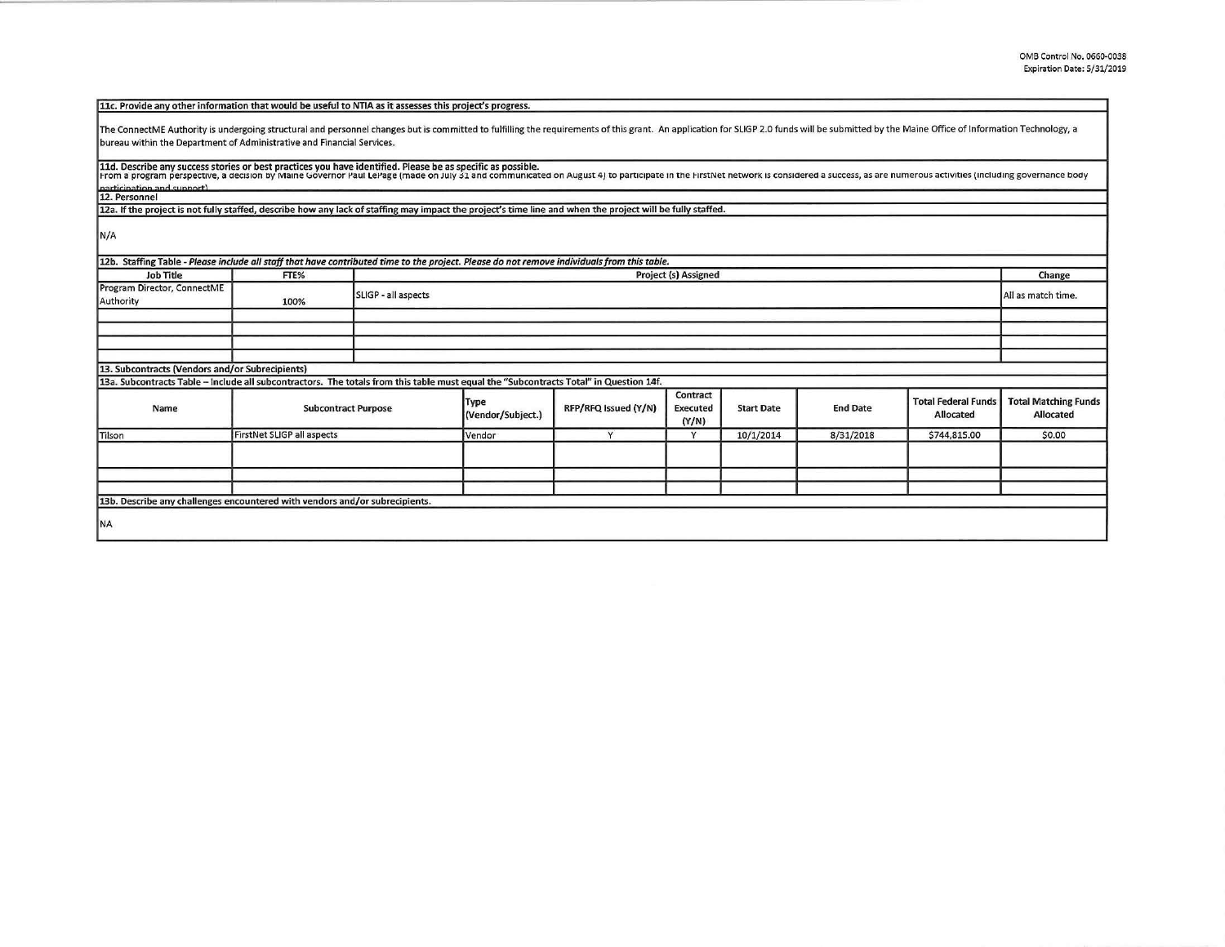| 11c. Provide any other information that would be useful to NTIA as it assesses this project's progress.                                                                                                                                                                                                                                       |                            |                     |                             |                      |                                      |                   |                 |                                         |                                          |
|-----------------------------------------------------------------------------------------------------------------------------------------------------------------------------------------------------------------------------------------------------------------------------------------------------------------------------------------------|----------------------------|---------------------|-----------------------------|----------------------|--------------------------------------|-------------------|-----------------|-----------------------------------------|------------------------------------------|
| The ConnectME Authority is undergoing structural and personnel changes but is committed to fulfilling the requirements of this grant. An application for SLIGP 2.0 funds will be submitted by the Maine Office of Information<br>bureau within the Department of Administrative and Financial Services.                                       |                            |                     |                             |                      |                                      |                   |                 |                                         |                                          |
| 11d. Describe any success stories or best practices you have identified. Please be as specific as possible.<br>From a program perspective, a decision by Maine Governor Paul LePage (made on July 31 and communicated on August 4) to participate in the FirstNet network is considered a success, as are numerous activities (including gove |                            |                     |                             |                      |                                      |                   |                 |                                         |                                          |
| narticination and support)<br>12. Personnel                                                                                                                                                                                                                                                                                                   |                            |                     |                             |                      |                                      |                   |                 |                                         |                                          |
| 12a. If the project is not fully staffed, describe how any lack of staffing may impact the project's time line and when the project will be fully staffed.                                                                                                                                                                                    |                            |                     |                             |                      |                                      |                   |                 |                                         |                                          |
| N/A                                                                                                                                                                                                                                                                                                                                           |                            |                     |                             |                      |                                      |                   |                 |                                         |                                          |
| 12b. Staffing Table - Please include all staff that have contributed time to the project. Please do not remove individuals from this table.                                                                                                                                                                                                   |                            |                     |                             |                      |                                      |                   |                 |                                         |                                          |
| <b>Job Title</b>                                                                                                                                                                                                                                                                                                                              | FTE%                       |                     | <b>Project (s) Assigned</b> |                      |                                      |                   |                 |                                         | Change                                   |
| Program Director, ConnectME<br>Authority                                                                                                                                                                                                                                                                                                      | 100%                       | SLIGP - all aspects |                             |                      |                                      |                   |                 | All as match time.                      |                                          |
|                                                                                                                                                                                                                                                                                                                                               |                            |                     |                             |                      |                                      |                   |                 |                                         |                                          |
|                                                                                                                                                                                                                                                                                                                                               |                            |                     |                             |                      |                                      |                   |                 |                                         |                                          |
|                                                                                                                                                                                                                                                                                                                                               |                            |                     |                             |                      |                                      |                   |                 |                                         |                                          |
|                                                                                                                                                                                                                                                                                                                                               |                            |                     |                             |                      |                                      |                   |                 |                                         |                                          |
| 13. Subcontracts (Vendors and/or Subrecipients)                                                                                                                                                                                                                                                                                               |                            |                     |                             |                      |                                      |                   |                 |                                         |                                          |
| 13a. Subcontracts Table - Include all subcontractors. The totals from this table must equal the "Subcontracts Total" in Question 14f.                                                                                                                                                                                                         |                            |                     |                             |                      |                                      |                   |                 |                                         |                                          |
| Name                                                                                                                                                                                                                                                                                                                                          | <b>Subcontract Purpose</b> |                     | Type<br>(Vendor/Subject.)   | RFP/RFQ Issued (Y/N) | Contract<br><b>Executed</b><br>(Y/N) | <b>Start Date</b> | <b>End Date</b> | <b>Total Federal Funds</b><br>Allocated | <b>Total Matching Funds</b><br>Allocated |
| Tilson                                                                                                                                                                                                                                                                                                                                        | FirstNet SLIGP all aspects |                     | Vendor                      | Y                    | v                                    | 10/1/2014         | 8/31/2018       | \$744,815.00                            | \$0.00                                   |
|                                                                                                                                                                                                                                                                                                                                               |                            |                     |                             |                      |                                      |                   |                 |                                         |                                          |
|                                                                                                                                                                                                                                                                                                                                               |                            |                     |                             |                      |                                      |                   |                 |                                         |                                          |
| 13b. Describe any challenges encountered with vendors and/or subrecipients.                                                                                                                                                                                                                                                                   |                            |                     |                             |                      |                                      |                   |                 |                                         |                                          |
|                                                                                                                                                                                                                                                                                                                                               |                            |                     |                             |                      |                                      |                   |                 |                                         |                                          |
| <b>NA</b>                                                                                                                                                                                                                                                                                                                                     |                            |                     |                             |                      |                                      |                   |                 |                                         |                                          |